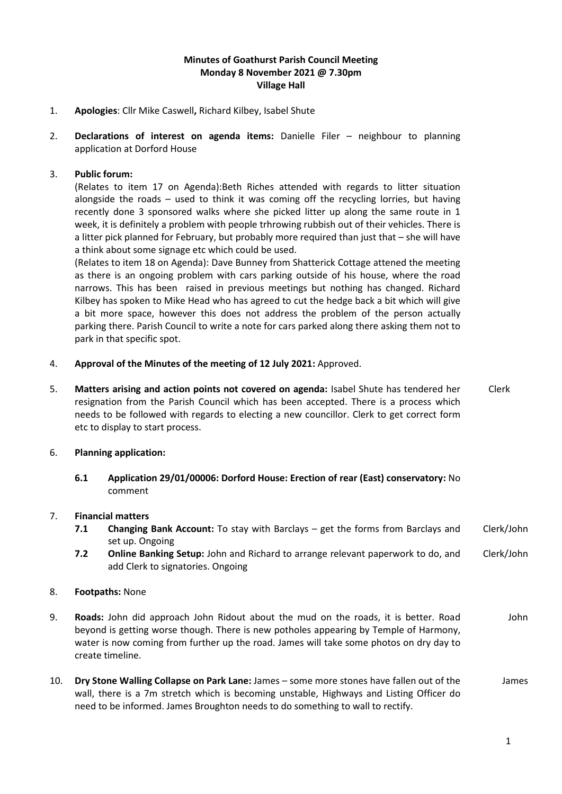## **Minutes of Goathurst Parish Council Meeting Monday 8 November 2021 @ 7.30pm Village Hall**

- 1. **Apologies**: Cllr Mike Caswell**,** Richard Kilbey, Isabel Shute
- 2. **Declarations of interest on agenda items:** Danielle Filer neighbour to planning application at Dorford House

### 3. **Public forum:**

(Relates to item 17 on Agenda):Beth Riches attended with regards to litter situation alongside the roads – used to think it was coming off the recycling lorries, but having recently done 3 sponsored walks where she picked litter up along the same route in 1 week, it is definitely a problem with people trhrowing rubbish out of their vehicles. There is a litter pick planned for February, but probably more required than just that – she will have a think about some signage etc which could be used.

(Relates to item 18 on Agenda): Dave Bunney from Shatterick Cottage attened the meeting as there is an ongoing problem with cars parking outside of his house, where the road narrows. This has been raised in previous meetings but nothing has changed. Richard Kilbey has spoken to Mike Head who has agreed to cut the hedge back a bit which will give a bit more space, however this does not address the problem of the person actually parking there. Parish Council to write a note for cars parked along there asking them not to park in that specific spot.

- 4. **Approval of the Minutes of the meeting of 12 July 2021:** Approved.
- 5. **Matters arising and action points not covered on agenda:** Isabel Shute has tendered her resignation from the Parish Council which has been accepted. There is a process which needs to be followed with regards to electing a new councillor. Clerk to get correct form etc to display to start process. Clerk

#### 6. **Planning application:**

**6.1 Application 29/01/00006: Dorford House: Erection of rear (East) conservatory:** No comment

# 7. **Financial matters**

- **7.1 Changing Bank Account:** To stay with Barclays get the forms from Barclays and set up. Ongoing Clerk/John
- **7.2 Online Banking Setup:** John and Richard to arrange relevant paperwork to do, and add Clerk to signatories. Ongoing Clerk/John

#### 8. **Footpaths:** None

- 9. **Roads:** John did approach John Ridout about the mud on the roads, it is better. Road beyond is getting worse though. There is new potholes appearing by Temple of Harmony, water is now coming from further up the road. James will take some photos on dry day to create timeline. John
- 10. **Dry Stone Walling Collapse on Park Lane:** James some more stones have fallen out of the wall, there is a 7m stretch which is becoming unstable, Highways and Listing Officer do need to be informed. James Broughton needs to do something to wall to rectify. James